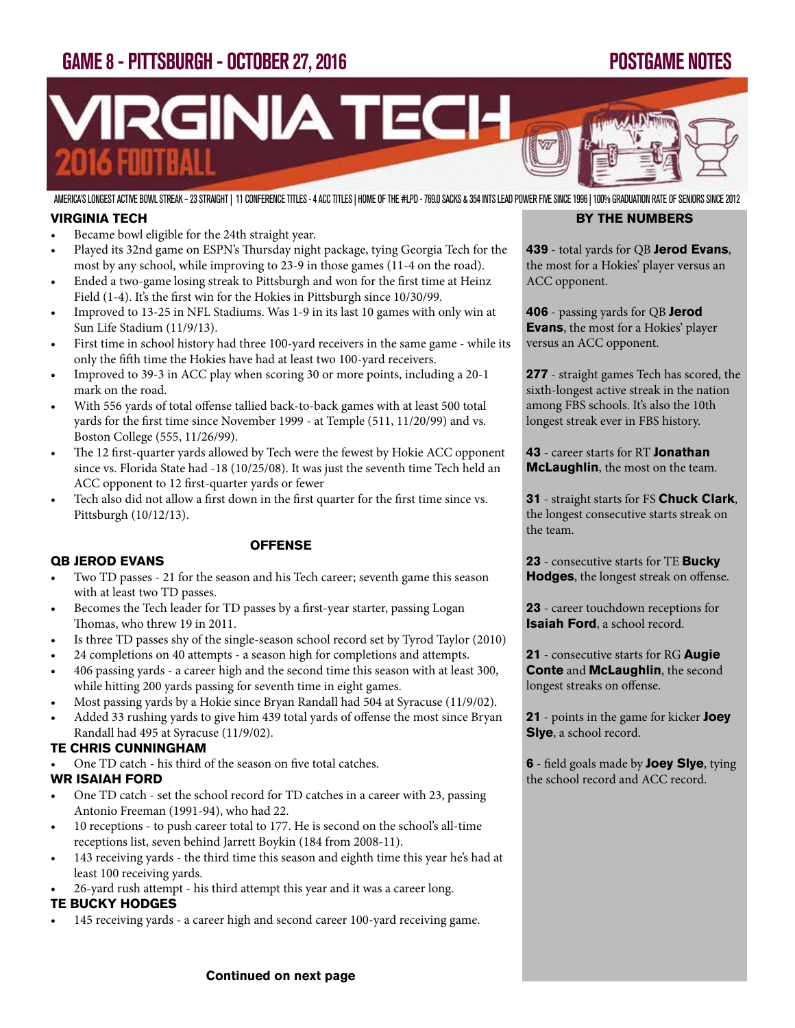## GAME 8 - PITTSBURGH - OCTOBER 27, 2016 POSTGAME NOTES



AMERICA'S LONGEST ACTIVE BOWL STREAK – 23 STRAIGHT | 11 CONFERENCE TITLES - 4 ACC TITLES | HOME OF THE #LPD - 769.0 SACKS & 354 INTS LEAD POWER FIVE SINCE 1996 | 100% GRADUATION RATE OF SENIORS SINCE 2012

#### **VIRGINIA TECH**

- Became bowl eligible for the 24th straight year.
- Played its 32nd game on ESPN's Thursday night package, tying Georgia Tech for the most by any school, while improving to 23-9 in those games (11-4 on the road).
- Ended a two-game losing streak to Pittsburgh and won for the first time at Heinz Field (1-4). It's the first win for the Hokies in Pittsburgh since 10/30/99.
- Improved to 13-25 in NFL Stadiums. Was 1-9 in its last 10 games with only win at Sun Life Stadium (11/9/13).
- First time in school history had three 100-yard receivers in the same game while its only the fifth time the Hokies have had at least two 100-yard receivers.
- Improved to 39-3 in ACC play when scoring 30 or more points, including a 20-1 mark on the road.
- With 556 yards of total offense tallied back-to-back games with at least 500 total yards for the first time since November 1999 - at Temple (511, 11/20/99) and vs. Boston College (555, 11/26/99).
- The 12 first-quarter yards allowed by Tech were the fewest by Hokie ACC opponent since vs. Florida State had -18 (10/25/08). It was just the seventh time Tech held an ACC opponent to 12 first-quarter yards or fewer

**OFFENSE** 

Tech also did not allow a first down in the first quarter for the first time since vs. Pittsburgh (10/12/13).

## **QB JEROD EVANS**

- Two TD passes 21 for the season and his Tech career; seventh game this season with at least two TD passes.
- Becomes the Tech leader for TD passes by a first-year starter, passing Logan Thomas, who threw 19 in 2011.
- Is three TD passes shy of the single-season school record set by Tyrod Taylor (2010)
- 24 completions on 40 attempts a season high for completions and attempts.
- 406 passing yards a career high and the second time this season with at least 300, while hitting 200 yards passing for seventh time in eight games.
- Most passing yards by a Hokie since Bryan Randall had 504 at Syracuse (11/9/02).
- Added 33 rushing yards to give him 439 total yards of offense the most since Bryan Randall had 495 at Syracuse (11/9/02).

#### **TE CHRIS CUNNINGHAM**

- One TD catch his third of the season on five total catches. **WR ISAIAH FORD**
- One TD catch set the school record for TD catches in a career with 23, passing Antonio Freeman (1991-94), who had 22.
- 10 receptions to push career total to 177. He is second on the school's all-time receptions list, seven behind Jarrett Boykin (184 from 2008-11).
- 143 receiving yards the third time this season and eighth time this year he's had at least 100 receiving yards.
- 26-yard rush attempt his third attempt this year and it was a career long.

#### **TE BUCKY HODGES**

• 145 receiving yards - a career high and second career 100-yard receiving game.

#### **BY THE NUMBERS**

**439** - total yards for QB **Jerod Evans**, the most for a Hokies' player versus an ACC opponent.

**406** - passing yards for QB **Jerod Evans**, the most for a Hokies' player versus an ACC opponent.

**277** - straight games Tech has scored, the sixth-longest active streak in the nation among FBS schools. It's also the 10th longest streak ever in FBS history.

**43** - career starts for RT **Jonathan McLaughlin**, the most on the team.

**31** - straight starts for FS **Chuck Clark**, the longest consecutive starts streak on the team.

**23** - consecutive starts for TE **Bucky Hodges**, the longest streak on offense.

**23** - career touchdown receptions for **Isaiah Ford**, a school record.

**21** - consecutive starts for RG **Augie Conte** and **McLaughlin**, the second longest streaks on offense.

**21** - points in the game for kicker **Joey Slye**, a school record.

**6** - field goals made by **Joey Slye**, tying the school record and ACC record.